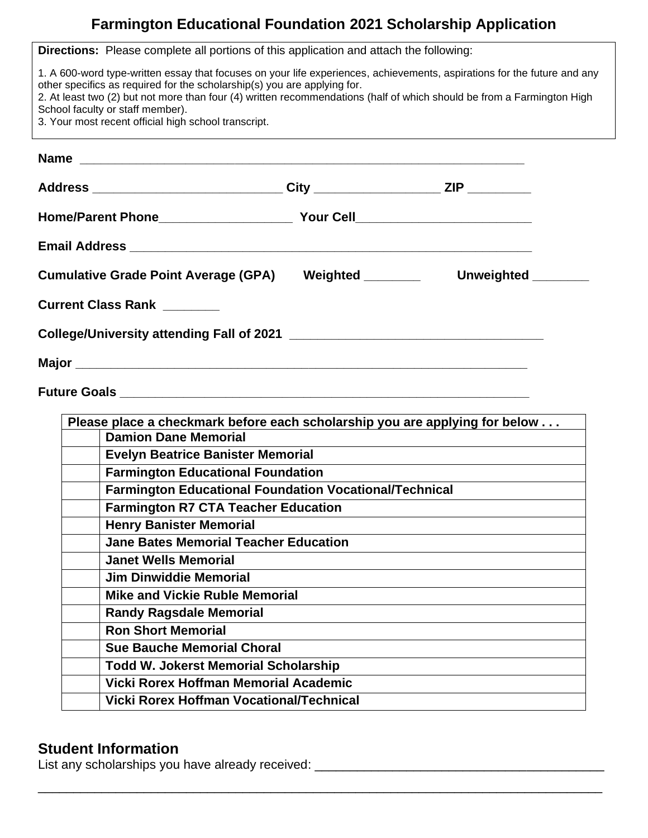## **Farmington Educational Foundation 2021 Scholarship Application**

|                                  | <b>Directions:</b> Please complete all portions of this application and attach the following:                                    |                                                                                                                                                                                                                                                    |  |
|----------------------------------|----------------------------------------------------------------------------------------------------------------------------------|----------------------------------------------------------------------------------------------------------------------------------------------------------------------------------------------------------------------------------------------------|--|
| School faculty or staff member). | other specifics as required for the scholarship(s) you are applying for.<br>3. Your most recent official high school transcript. | 1. A 600-word type-written essay that focuses on your life experiences, achievements, aspirations for the future and any<br>2. At least two (2) but not more than four (4) written recommendations (half of which should be from a Farmington High |  |
|                                  |                                                                                                                                  |                                                                                                                                                                                                                                                    |  |
|                                  |                                                                                                                                  |                                                                                                                                                                                                                                                    |  |
|                                  | Address _______________________________City ______________________ZIP __________                                                 |                                                                                                                                                                                                                                                    |  |
|                                  |                                                                                                                                  |                                                                                                                                                                                                                                                    |  |
|                                  |                                                                                                                                  |                                                                                                                                                                                                                                                    |  |
|                                  |                                                                                                                                  |                                                                                                                                                                                                                                                    |  |
|                                  |                                                                                                                                  | Cumulative Grade Point Average (GPA) Weighted _________ Unweighted _______                                                                                                                                                                         |  |
| <b>Current Class Rank</b>        |                                                                                                                                  |                                                                                                                                                                                                                                                    |  |
|                                  |                                                                                                                                  |                                                                                                                                                                                                                                                    |  |
|                                  |                                                                                                                                  |                                                                                                                                                                                                                                                    |  |
|                                  |                                                                                                                                  |                                                                                                                                                                                                                                                    |  |
|                                  |                                                                                                                                  |                                                                                                                                                                                                                                                    |  |
|                                  |                                                                                                                                  |                                                                                                                                                                                                                                                    |  |
|                                  |                                                                                                                                  | Please place a checkmark before each scholarship you are applying for below                                                                                                                                                                        |  |
|                                  | <b>Damion Dane Memorial</b>                                                                                                      |                                                                                                                                                                                                                                                    |  |
|                                  | <b>Evelyn Beatrice Banister Memorial</b>                                                                                         | <u> 1989 - Johann Barn, amerikansk politiker (d. 1989)</u>                                                                                                                                                                                         |  |
|                                  | <b>Farmington Educational Foundation</b>                                                                                         |                                                                                                                                                                                                                                                    |  |
|                                  | <b>Farmington Educational Foundation Vocational/Technical</b>                                                                    |                                                                                                                                                                                                                                                    |  |
|                                  | <b>Farmington R7 CTA Teacher Education</b>                                                                                       |                                                                                                                                                                                                                                                    |  |
|                                  | <b>Henry Banister Memorial</b><br><b>Jane Bates Memorial Teacher Education</b>                                                   |                                                                                                                                                                                                                                                    |  |
|                                  | <b>Janet Wells Memorial</b>                                                                                                      |                                                                                                                                                                                                                                                    |  |
|                                  | <b>Jim Dinwiddie Memorial</b>                                                                                                    |                                                                                                                                                                                                                                                    |  |
|                                  | <b>Mike and Vickie Ruble Memorial</b>                                                                                            |                                                                                                                                                                                                                                                    |  |
|                                  | <b>Randy Ragsdale Memorial</b>                                                                                                   |                                                                                                                                                                                                                                                    |  |
|                                  | <b>Ron Short Memorial</b>                                                                                                        |                                                                                                                                                                                                                                                    |  |
|                                  | <b>Sue Bauche Memorial Choral</b>                                                                                                |                                                                                                                                                                                                                                                    |  |
|                                  | <b>Todd W. Jokerst Memorial Scholarship</b>                                                                                      |                                                                                                                                                                                                                                                    |  |
|                                  | Vicki Rorex Hoffman Memorial Academic                                                                                            |                                                                                                                                                                                                                                                    |  |
|                                  | <b>Vicki Rorex Hoffman Vocational/Technical</b>                                                                                  |                                                                                                                                                                                                                                                    |  |
|                                  |                                                                                                                                  |                                                                                                                                                                                                                                                    |  |

\_\_\_\_\_\_\_\_\_\_\_\_\_\_\_\_\_\_\_\_\_\_\_\_\_\_\_\_\_\_\_\_\_\_\_\_\_\_\_\_\_\_\_\_\_\_\_\_\_\_\_\_\_\_\_\_\_\_\_\_\_\_\_\_\_\_\_\_\_\_\_\_\_\_\_\_\_\_\_\_

## **Student Information**

List any scholarships you have already received: \_\_\_\_\_\_\_\_\_\_\_\_\_\_\_\_\_\_\_\_\_\_\_\_\_\_\_\_\_\_\_\_